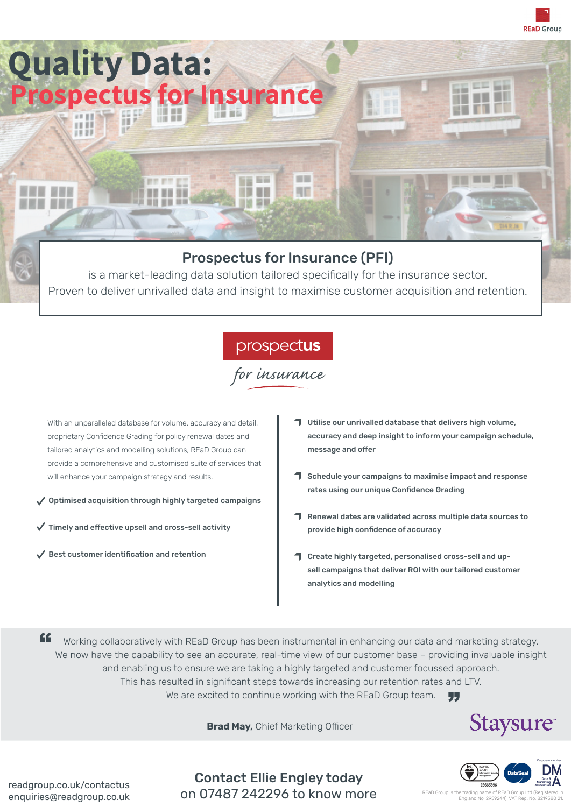

## Prospectus for Insurance (PFI)

is a market-leading data solution tailored specifically for the insurance sector. Proven to deliver unrivalled data and insight to maximise customer acquisition and retention.

## prospectus<br>for insurance

With an unparalleled database for volume, accuracy and detail, proprietary Confidence Grading for policy renewal dates and tailored analytics and modelling solutions, REaD Group can provide a comprehensive and customised suite of services that will enhance your campaign strategy and results.

- $\checkmark$  Optimised acquisition through highly targeted campaigns
- $\checkmark$  Timely and effective upsell and cross-sell activity
- $\checkmark$  Best customer identification and retention
- $\Box$  Utilise our unrivalled database that delivers high volume, accuracy and deep insight to inform your campaign schedule, message and offer
- $\Box$  Schedule your campaigns to maximise impact and response rates using our unique Confidence Grading
- Renewal dates are validated across multiple data sources to provide high confidence of accuracy
- Create highly targeted, personalised cross-sell and upsell campaigns that deliver ROI with our tailored customer analytics and modelling

"

Working collaboratively with REaD Group has been instrumental in enhancing our data and marketing strategy. We now have the capability to see an accurate, real-time view of our customer base - providing invaluable insight and enabling us to ensure we are taking a highly targeted and customer focussed approach. This has resulted in significant steps towards increasing our retention rates and LTV. We are excited to continue working with the REaD Group team. 77

 **Brad May,** Chief Marketing Officer



readgroup.co.uk/contactus enquiries@readgroup.co.uk

Contact Ellie Engley today on 07487 242296 to know more

REaD Group is the trading England No. 2959244). VAT Reg. No. 8219580 21.